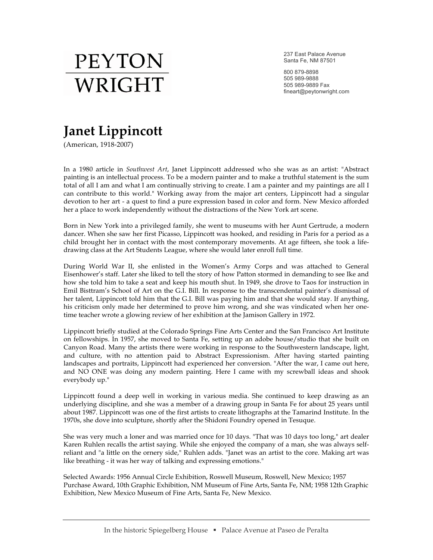

237 East Palace Avenue Santa Fe, NM 87501

800 879-8898 505 989-9888 505 989-9889 Fax fineart@peytonwright.com

## **Janet Lippincott**

(American, 1918-2007)

In a 1980 article in *Southwest Art*, Janet Lippincott addressed who she was as an artist: "Abstract painting is an intellectual process. To be a modern painter and to make a truthful statement is the sum total of all I am and what I am continually striving to create. I am a painter and my paintings are all I can contribute to this world." Working away from the major art centers, Lippincott had a singular devotion to her art - a quest to find a pure expression based in color and form. New Mexico afforded her a place to work independently without the distractions of the New York art scene.

Born in New York into a privileged family, she went to museums with her Aunt Gertrude, a modern dancer. When she saw her first Picasso, Lippincott was hooked, and residing in Paris for a period as a child brought her in contact with the most contemporary movements. At age fifteen, she took a lifedrawing class at the Art Students League, where she would later enroll full time.

During World War II, she enlisted in the Women's Army Corps and was attached to General Eisenhower's staff. Later she liked to tell the story of how Patton stormed in demanding to see Ike and how she told him to take a seat and keep his mouth shut. In 1949, she drove to Taos for instruction in Emil Bisttram's School of Art on the G.I. Bill. In response to the transcendental painter's dismissal of her talent, Lippincott told him that the G.I. Bill was paying him and that she would stay. If anything, his criticism only made her determined to prove him wrong, and she was vindicated when her onetime teacher wrote a glowing review of her exhibition at the Jamison Gallery in 1972.

Lippincott briefly studied at the Colorado Springs Fine Arts Center and the San Francisco Art Institute on fellowships. In 1957, she moved to Santa Fe, setting up an adobe house/studio that she built on Canyon Road. Many the artists there were working in response to the Southwestern landscape, light, and culture, with no attention paid to Abstract Expressionism. After having started painting landscapes and portraits, Lippincott had experienced her conversion. "After the war, I came out here, and NO ONE was doing any modern painting. Here I came with my screwball ideas and shook everybody up."

Lippincott found a deep well in working in various media. She continued to keep drawing as an underlying discipline, and she was a member of a drawing group in Santa Fe for about 25 years until about 1987. Lippincott was one of the first artists to create lithographs at the Tamarind Institute. In the 1970s, she dove into sculpture, shortly after the Shidoni Foundry opened in Tesuque.

She was very much a loner and was married once for 10 days. "That was 10 days too long," art dealer Karen Ruhlen recalls the artist saying. While she enjoyed the company of a man, she was always selfreliant and "a little on the ornery side," Ruhlen adds. "Janet was an artist to the core. Making art was like breathing - it was her way of talking and expressing emotions."

Selected Awards: 1956 Annual Circle Exhibition, Roswell Museum, Roswell, New Mexico; 1957 Purchase Award, 10th Graphic Exhibition, NM Museum of Fine Arts, Santa Fe, NM; 1958 12th Graphic Exhibition, New Mexico Museum of Fine Arts, Santa Fe, New Mexico.